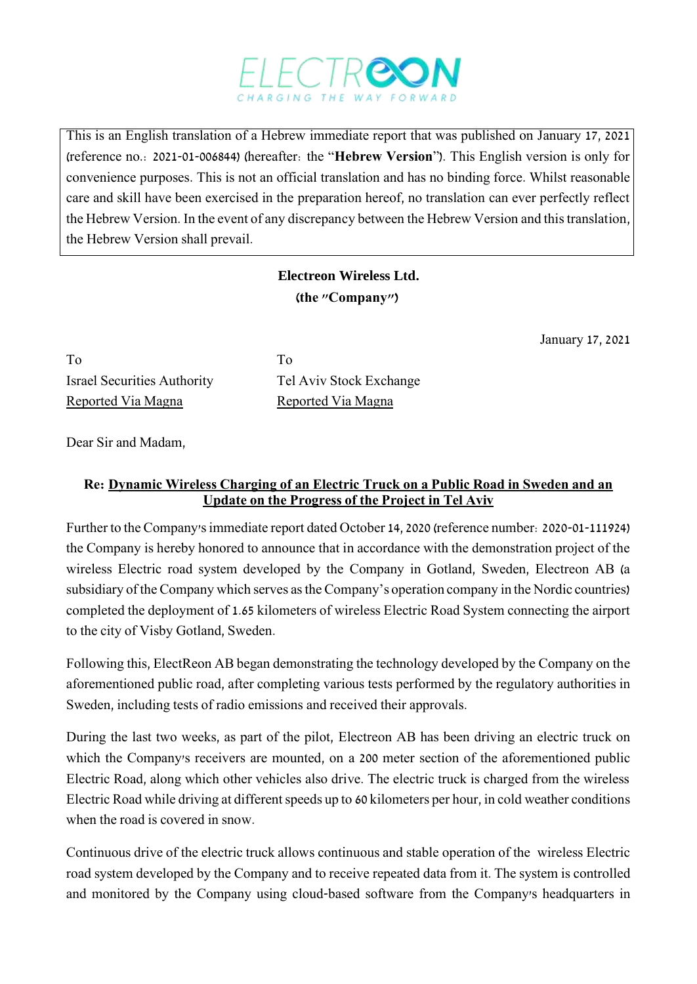

This is an English translation of a Hebrew immediate report that was published on January 17, 2021 (reference no.: 2021-01-006844) (hereafter: the "**Hebrew Version**"). This English version is only for convenience purposes. This is not an official translation and has no binding force. Whilst reasonable care and skill have been exercised in the preparation hereof, no translation can ever perfectly reflect the Hebrew Version. In the event of any discrepancy between the Hebrew Version and this translation, the Hebrew Version shall prevail.

## **Electreon Wireless Ltd. )the "Company"(**

January 17, 2021

To To Israel Securities Authority Tel Aviv Stock Exchange Reported Via Magna<br>Reported Via Magna

Dear Sir and Madam,

## **Re: Dynamic Wireless Charging of an Electric Truck on a Public Road in Sweden and an Update on the Progress of the Project in Tel Aviv**

Further to the Company's immediate report dated October 14, 2020 (reference number: 2020-01-111924) the Company is hereby honored to announce that in accordance with the demonstration project of the wireless Electric road system developed by the Company in Gotland, Sweden, Electreon AB (a subsidiary of the Company which serves as the Company's operation company in the Nordic countries) completed the deployment of 1.65 kilometers of wireless Electric Road System connecting the airport to the city of Visby Gotland, Sweden.

Following this, ElectReon AB began demonstrating the technology developed by the Company on the aforementioned public road, after completing various tests performed by the regulatory authorities in Sweden, including tests of radio emissions and received their approvals.

During the last two weeks, as part of the pilot, Electreon AB has been driving an electric truck on which the Company's receivers are mounted, on a 200 meter section of the aforementioned public Electric Road, along which other vehicles also drive. The electric truck is charged from the wireless Electric Road while driving at different speeds up to 60 kilometers per hour, in cold weather conditions when the road is covered in snow.

Continuous drive of the electric truck allows continuous and stable operation of the wireless Electric road system developed by the Company and to receive repeated data from it. The system is controlled and monitored by the Company using cloud-based software from the Company's headquarters in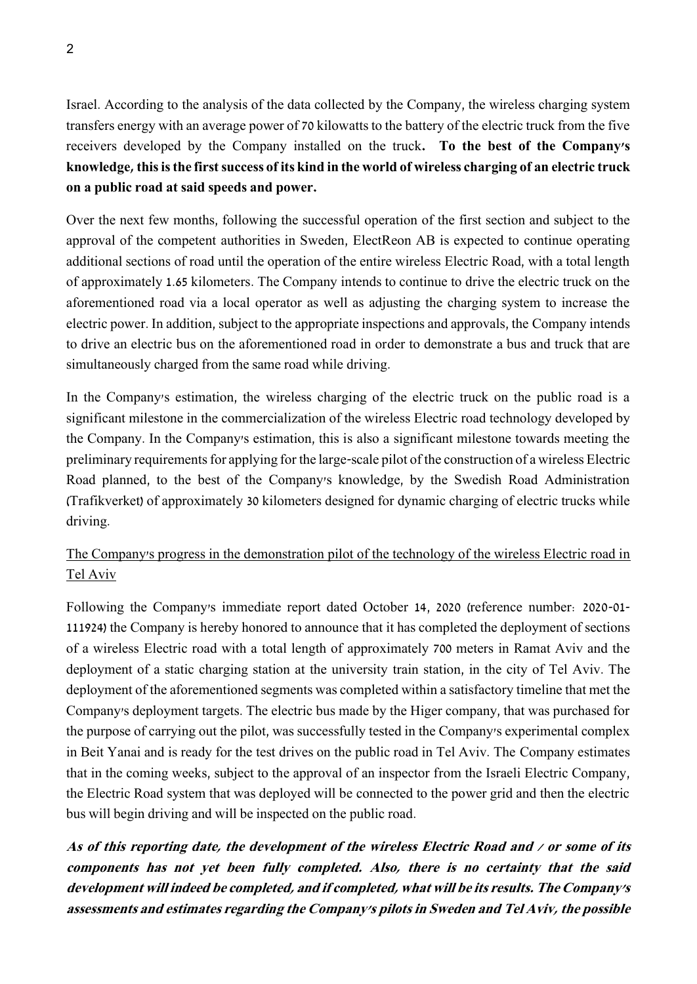Israel. According to the analysis of the data collected by the Company, the wireless charging system transfers energy with an average power of 70 kilowatts to the battery of the electric truck from the five receivers developed by the Company installed on the truck**. To the best of the Company's knowledge, this is the first success of its kind in the world of wireless charging of an electric truck on a public road at said speeds and power.**

Over the next few months, following the successful operation of the first section and subject to the approval of the competent authorities in Sweden, ElectReon AB is expected to continue operating additional sections of road until the operation of the entire wireless Electric Road, with a total length of approximately 1.65 kilometers. The Company intends to continue to drive the electric truck on the aforementioned road via a local operator as well as adjusting the charging system to increase the electric power. In addition, subject to the appropriate inspections and approvals, the Company intends to drive an electric bus on the aforementioned road in order to demonstrate a bus and truck that are simultaneously charged from the same road while driving.

In the Company's estimation, the wireless charging of the electric truck on the public road is a significant milestone in the commercialization of the wireless Electric road technology developed by the Company. In the Company's estimation, this is also a significant milestone towards meeting the preliminary requirements for applying for the large-scale pilot of the construction of a wireless Electric Road planned, to the best of the Company's knowledge, by the Swedish Road Administration (Trafikverket) of approximately 30 kilometers designed for dynamic charging of electric trucks while driving.

## The Company's progress in the demonstration pilot of the technology of the wireless Electric road in Tel Aviv

Following the Company's immediate report dated October 14, 2020 (reference number: 2020-01- 111924) the Company is hereby honored to announce that it has completed the deployment of sections of a wireless Electric road with a total length of approximately 700 meters in Ramat Aviv and the deployment of a static charging station at the university train station, in the city of Tel Aviv. The deployment of the aforementioned segments was completed within a satisfactory timeline that met the Company's deployment targets. The electric bus made by the Higer company, that was purchased for the purpose of carrying out the pilot, was successfully tested in the Company's experimental complex in Beit Yanai and is ready for the test drives on the public road in Tel Aviv. The Company estimates that in the coming weeks, subject to the approval of an inspector from the Israeli Electric Company, the Electric Road system that was deployed will be connected to the power grid and then the electric bus will begin driving and will be inspected on the public road.

**As of this reporting date, the development of the wireless Electric Road and / or some of its components has not yet been fully completed. Also, there is no certainty that the said development will indeed be completed, and if completed, what will be its results. The Company's assessments and estimates regarding the Company's pilots in Sweden and Tel Aviv, the possible**